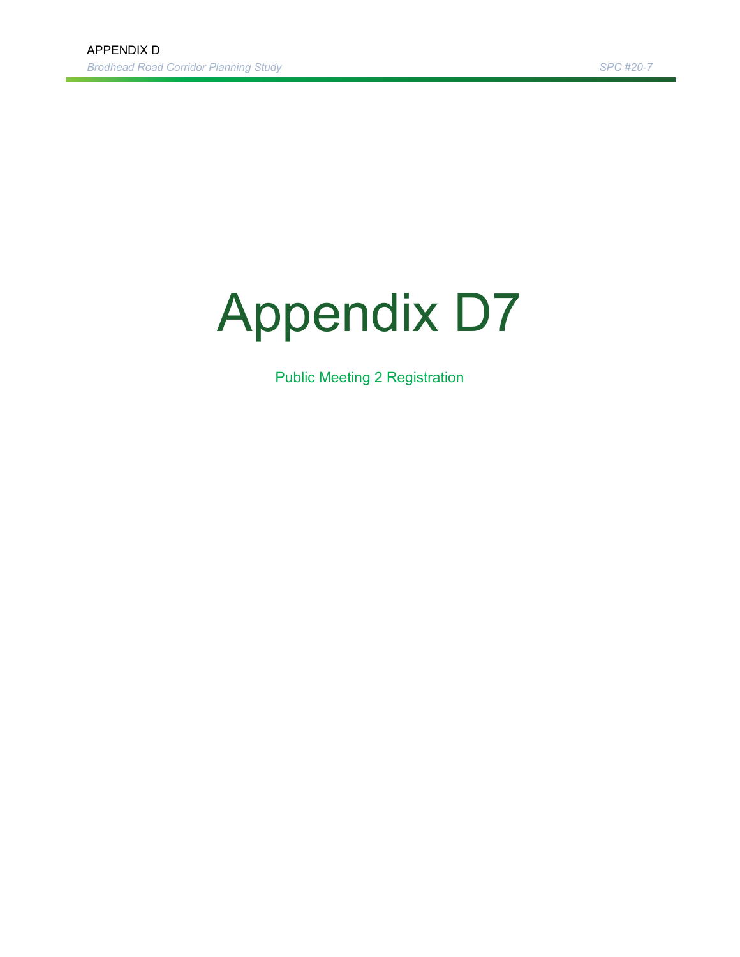## Appendix D7

Public Meeting 2 Registration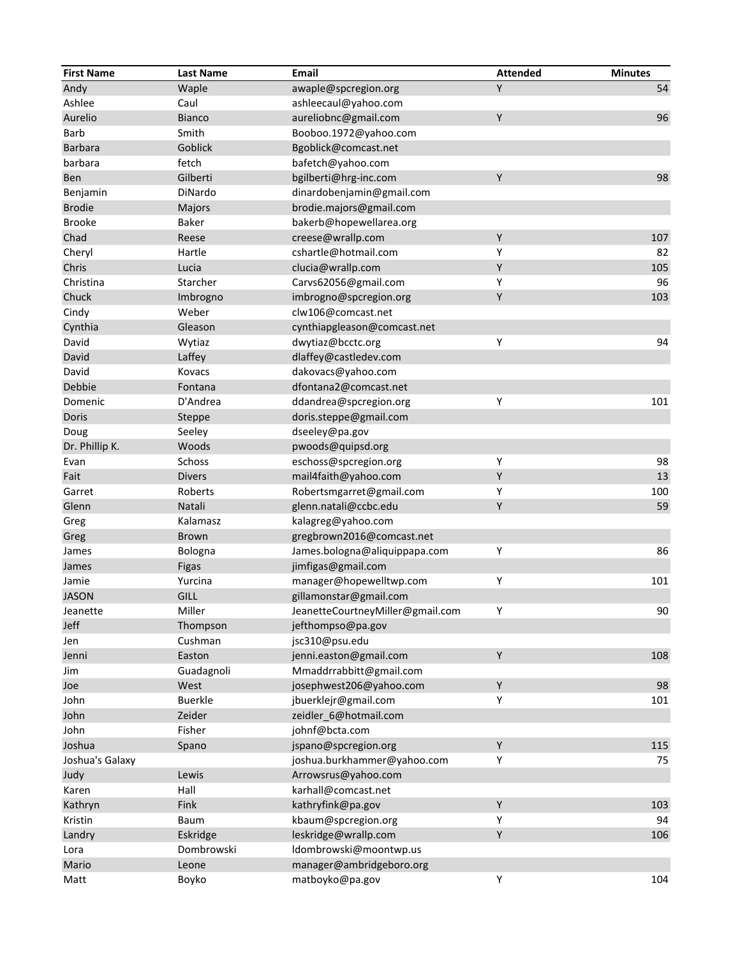| <b>First Name</b> | <b>Last Name</b> | Email                            | <b>Attended</b> | <b>Minutes</b> |
|-------------------|------------------|----------------------------------|-----------------|----------------|
| Andy              | Waple            | awaple@spcregion.org             | Y               | 54             |
| Ashlee            | Caul             | ashleecaul@yahoo.com             |                 |                |
| Aurelio           | <b>Bianco</b>    | aureliobnc@gmail.com             | Y               | 96             |
| <b>Barb</b>       | Smith            | Booboo.1972@yahoo.com            |                 |                |
| Barbara           | Goblick          | Bgoblick@comcast.net             |                 |                |
| barbara           | fetch            | bafetch@yahoo.com                |                 |                |
| Ben               | Gilberti         | bgilberti@hrg-inc.com            | Y               | 98             |
| Benjamin          | DiNardo          | dinardobenjamin@gmail.com        |                 |                |
| <b>Brodie</b>     | Majors           | brodie.majors@gmail.com          |                 |                |
| <b>Brooke</b>     | Baker            | bakerb@hopewellarea.org          |                 |                |
| Chad              | Reese            | creese@wrallp.com                | Y               | 107            |
| Cheryl            | Hartle           | cshartle@hotmail.com             | Y               | 82             |
| Chris             | Lucia            | clucia@wrallp.com                | Υ               | 105            |
| Christina         | Starcher         | Carvs62056@gmail.com             | Υ               | 96             |
| Chuck             | Imbrogno         | imbrogno@spcregion.org           | Υ               | 103            |
| Cindy             | Weber            | clw106@comcast.net               |                 |                |
| Cynthia           | Gleason          | cynthiapgleason@comcast.net      |                 |                |
| David             | Wytiaz           | dwytiaz@bcctc.org                | Υ               | 94             |
| David             | Laffey           | dlaffey@castledev.com            |                 |                |
| David             | Kovacs           | dakovacs@yahoo.com               |                 |                |
| Debbie            | Fontana          | dfontana2@comcast.net            |                 |                |
| Domenic           | D'Andrea         | ddandrea@spcregion.org           | Υ               | 101            |
| Doris             | Steppe           | doris.steppe@gmail.com           |                 |                |
| Doug              | Seeley           | dseeley@pa.gov                   |                 |                |
| Dr. Phillip K.    | Woods            | pwoods@quipsd.org                |                 |                |
| Evan              | Schoss           | eschoss@spcregion.org            | Υ               | 98             |
| Fait              | <b>Divers</b>    | mail4faith@yahoo.com             | Υ               | 13             |
| Garret            | Roberts          | Robertsmgarret@gmail.com         | Υ               | 100            |
| Glenn             | Natali           | glenn.natali@ccbc.edu            | Υ               | 59             |
| Greg              | Kalamasz         | kalagreg@yahoo.com               |                 |                |
| Greg              | <b>Brown</b>     | gregbrown2016@comcast.net        |                 |                |
| James             | Bologna          | James.bologna@aliquippapa.com    | Υ               | 86             |
| James             | Figas            | jimfigas@gmail.com               |                 |                |
| Jamie             | Yurcina          | manager@hopewelltwp.com          | Υ               | 101            |
| <b>JASON</b>      | <b>GILL</b>      | gillamonstar@gmail.com           |                 |                |
| Jeanette          | Miller           | JeanetteCourtneyMiller@gmail.com | Υ               | 90             |
| Jeff              | Thompson         | jefthompso@pa.gov                |                 |                |
| Jen               | Cushman          | jsc310@psu.edu                   |                 |                |
| Jenni             | Easton           | jenni.easton@gmail.com           | Y               | 108            |
| Jim               | Guadagnoli       | Mmaddrrabbitt@gmail.com          |                 |                |
| Joe               | West             | josephwest206@yahoo.com          | Y               | 98             |
| John              | <b>Buerkle</b>   | jbuerklejr@gmail.com             | Υ               | 101            |
| John              | Zeider           | zeidler_6@hotmail.com            |                 |                |
| John              | Fisher           | johnf@bcta.com                   |                 |                |
| Joshua            | Spano            | jspano@spcregion.org             | $\mathsf Y$     | 115            |
| Joshua's Galaxy   |                  | joshua.burkhammer@yahoo.com      | Y               | 75             |
| Judy              | Lewis            | Arrowsrus@yahoo.com              |                 |                |
| Karen             | Hall             | karhall@comcast.net              |                 |                |
| Kathryn           | Fink             | kathryfink@pa.gov                | Y               | 103            |
| Kristin           | Baum             | kbaum@spcregion.org              | Υ               | 94             |
| Landry            | Eskridge         | leskridge@wrallp.com             | Υ               | 106            |
| Lora              | Dombrowski       | ldombrowski@moontwp.us           |                 |                |
| Mario             | Leone            | manager@ambridgeboro.org         |                 |                |
| Matt              | Boyko            | matboyko@pa.gov                  | Υ               | 104            |